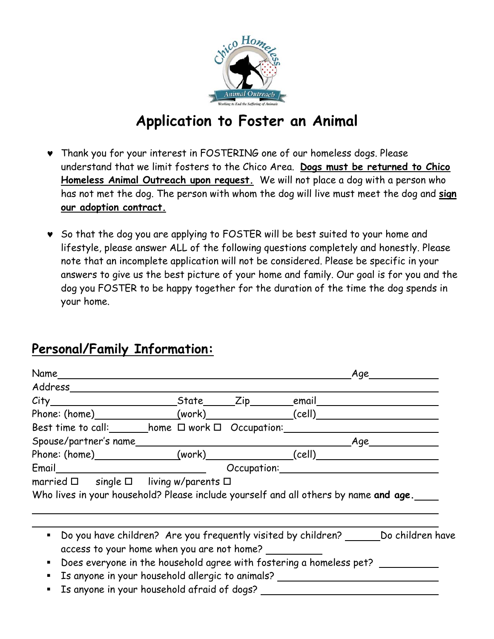

### **Application to Foster an Animal**

- ♥ Thank you for your interest in FOSTERING one of our homeless dogs. Please understand that we limit fosters to the Chico Area. **Dogs must be returned to Chico Homeless Animal Outreach upon request.** We will not place a dog with a person who has not met the dog. The person with whom the dog will live must meet the dog and **sign our adoption contract.**
- ♥ So that the dog you are applying to FOSTER will be best suited to your home and lifestyle, please answer ALL of the following questions completely and honestly. Please note that an incomplete application will not be considered. Please be specific in your answers to give us the best picture of your home and family. Our goal is for you and the dog you FOSTER to be happy together for the duration of the time the dog spends in your home.

#### **Personal/Family Information:**

| Name_______                                                                                                                                                                                                                                                                                          |  | Age |  |
|------------------------------------------------------------------------------------------------------------------------------------------------------------------------------------------------------------------------------------------------------------------------------------------------------|--|-----|--|
| Address_______                                                                                                                                                                                                                                                                                       |  |     |  |
|                                                                                                                                                                                                                                                                                                      |  |     |  |
| Phone: (home)________________(work)_______________(cell)________________________                                                                                                                                                                                                                     |  |     |  |
| Best time to call: home $\Box$ work $\Box$ Occupation:                                                                                                                                                                                                                                               |  |     |  |
|                                                                                                                                                                                                                                                                                                      |  |     |  |
| Phone: (home)_______________(work)_______________(cell)_________________________                                                                                                                                                                                                                     |  |     |  |
|                                                                                                                                                                                                                                                                                                      |  |     |  |
| Who lives in your household? Please include yourself and all others by name and age.                                                                                                                                                                                                                 |  |     |  |
| • Do you have children? Are you frequently visited by children? ________ Do children have<br>access to your home when you are not home?<br>• Does everyone in the household agree with fostering a homeless pet?<br>Is anyone in your household allergic to animals? _______________________________ |  |     |  |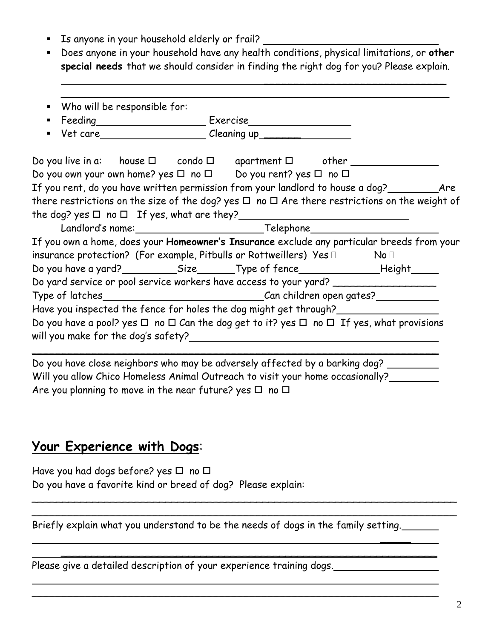- Is anyone in your household elderly or frail?
- Does anyone in your household have any health conditions, physical limitations, or **other special needs** that we should consider in finding the right dog for you? Please explain.

 $\overline{\phantom{a}}$  , which is a set of the set of the set of the set of the set of the set of the set of the set of the set of the set of the set of the set of the set of the set of the set of the set of the set of the set of th

| Do you own your own home? yes $\Box$ no $\Box$ Do you rent? yes $\Box$ no $\Box$                                                                            |  |  |
|-------------------------------------------------------------------------------------------------------------------------------------------------------------|--|--|
| If you rent, do you have written permission from your landlord to house a dog?__________Are                                                                 |  |  |
| there restrictions on the size of the dog? yes $\Box$ no $\Box$ Are there restrictions on the weight of                                                     |  |  |
| the dog? yes $\Box$ no $\Box$ If yes, what are they? ________________________________                                                                       |  |  |
|                                                                                                                                                             |  |  |
|                                                                                                                                                             |  |  |
| If you own a home, does your <b>Homeowner's Insurance</b> exclude any particular breeds from your                                                           |  |  |
|                                                                                                                                                             |  |  |
| insurance protection? (For example, Pitbulls or Rottweillers) $\,$ Yes $\Box$ $\,$ $\,$ No $\Box$ $\,$                                                      |  |  |
|                                                                                                                                                             |  |  |
| Do yard service or pool service workers have access to your yard? ______________                                                                            |  |  |
| Type of latches___________________________________Can children open gates?____________<br>Have you inspected the fence for holes the dog might get through? |  |  |

Do you have close neighbors who may be adversely affected by a barking dog? Will you allow Chico Homeless Animal Outreach to visit your home occasionally? Are you planning to move in the near future? yes  $\Box$  no  $\Box$ 

#### **Your Experience with Dogs**:

 $\overline{a}$ 

Have you had dogs before? yes  $\Box$  no  $\Box$ Do you have a favorite kind or breed of dog? Please explain:

Briefly explain what you understand to be the needs of dogs in the family setting.

 $\frac{1}{2}$  , and the contract of the contract of the contract of the contract of the contract of the contract of the contract of the contract of the contract of the contract of the contract of the contract of the contract

\_\_\_\_\_\_\_\_\_\_\_\_\_\_\_\_\_\_\_\_\_\_\_\_\_\_\_\_\_\_\_\_\_\_\_\_\_\_\_\_\_\_\_\_\_\_\_\_\_\_\_\_\_\_\_\_\_\_\_\_\_\_\_\_\_\_\_\_\_\_ \_\_\_\_\_\_\_\_\_\_\_\_\_\_\_\_\_\_\_\_\_\_\_\_\_\_\_\_\_\_\_\_\_\_\_\_\_\_\_\_\_\_\_\_\_\_\_\_\_\_\_\_\_\_\_\_\_\_\_\_\_\_\_\_\_\_\_\_\_\_

\_\_\_\_\_\_\_\_\_\_\_\_\_\_\_\_\_\_\_\_\_\_\_\_\_\_\_\_\_\_\_\_\_\_\_\_\_\_\_\_\_\_\_\_\_\_\_\_\_\_\_\_\_\_\_\_\_\_\_\_\_\_

\_\_\_\_\_\_\_\_\_\_\_\_\_\_\_\_\_\_\_\_\_\_\_\_\_\_\_\_\_\_\_\_\_\_\_\_\_\_\_\_\_\_\_\_\_\_\_\_\_\_\_\_\_\_\_\_\_\_\_\_\_\_\_\_\_\_\_

Please give a detailed description of your experience training dogs.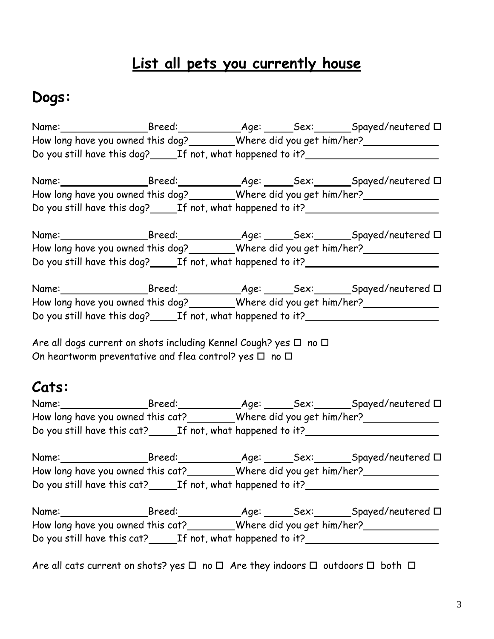# **List all pets you currently house**

## **Dogs:**

|       |                                                                  |  | Name:_______________________Breed:____________________________Sex:_________Spayed/neutered $\Box$ |
|-------|------------------------------------------------------------------|--|---------------------------------------------------------------------------------------------------|
|       |                                                                  |  | How long have you owned this dog?________Where did you get him/her?_____________                  |
|       |                                                                  |  | Do you still have this dog?_______If not, what happened to it?___________________                 |
|       |                                                                  |  | Name:_______________________Breed:___________________________Sex:_________Spayed/neutered $\Box$  |
|       |                                                                  |  | How long have you owned this dog?________Where did you get him/her?_____________                  |
|       |                                                                  |  | Do you still have this dog?_______If not, what happened to it?___________________                 |
|       |                                                                  |  |                                                                                                   |
|       |                                                                  |  | How long have you owned this dog?________Where did you get him/her?_____________                  |
|       |                                                                  |  | Do you still have this dog?_______If not, what happened to it?___________________                 |
|       |                                                                  |  | Name:______________________Breed:__________________________Sex:_________Spayed/neutered 口         |
|       |                                                                  |  | How long have you owned this dog?________Where did you get him/her?_____________                  |
|       |                                                                  |  | Do you still have this dog?_______If not, what happened to it?___________________                 |
| Cats: | On heartworm preventative and flea control? yes $\Box$ no $\Box$ |  |                                                                                                   |
|       |                                                                  |  |                                                                                                   |
|       |                                                                  |  | How long have you owned this cat?________Where did you get him/her?_____________                  |
|       |                                                                  |  | Do you still have this cat?_______If not, what happened to it?___________________                 |
|       |                                                                  |  | Name:_______________________Breed:____________________________Sex:_________Spayed/neutered $\Box$ |
|       |                                                                  |  | How long have you owned this cat? _________Where did you get him/her? ___________                 |
|       |                                                                  |  | Do you still have this cat? ______ If not, what happened to it? ________________                  |
|       |                                                                  |  |                                                                                                   |
|       |                                                                  |  |                                                                                                   |
|       |                                                                  |  | Do you still have this cat?_______If not, what happened to it?__________________                  |

Are all cats current on shots? yes  $\Box$  no  $\Box$  Are they indoors  $\Box$  outdoors  $\Box$  both  $\Box$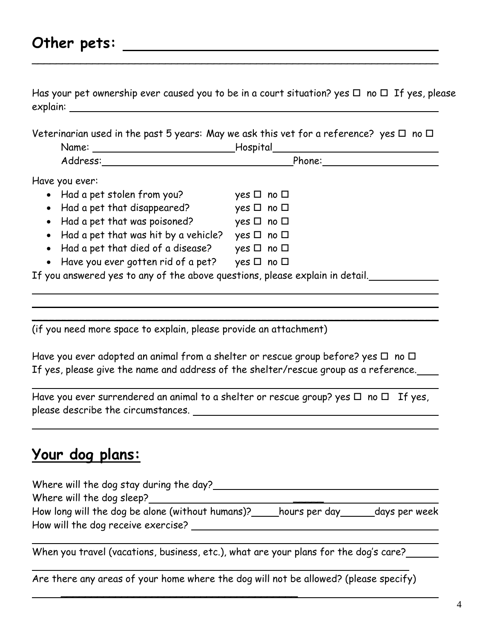#### **Other pets:**

Has your pet ownership ever caused you to be in a court situation? yes  $\Box$  no  $\Box$  If yes, please explain:

 $\sim$  . The contract of the contract of the contract of the contract of the contract of the contract of the contract of

Veterinarian used in the past 5 years: May we ask this vet for a reference? yes  $\Box$  no  $\Box$ 

| Name:    | Hospital |  |
|----------|----------|--|
| Address: | Phone:   |  |
|          |          |  |

Have you ever:

 $\overline{a}$ 

L

 $\overline{a}$ 

 $\overline{a}$ 

l

| • Had a pet stolen from you?           | $yes \Box no \Box$   |  |
|----------------------------------------|----------------------|--|
| • Had a pet that disappeared?          | yes $\Box$ no $\Box$ |  |
| • Had a pet that was poisoned?         | yes $\Box$ no $\Box$ |  |
| • Had a pet that was hit by a vehicle? | yes $\Box$ no $\Box$ |  |
| • Had a pet that died of a disease?    | yes $\Box$ no $\Box$ |  |
| • Have you ever gotten rid of a pet?   | yes $\Box$ no $\Box$ |  |

<u> 1989 - Johann Barn, amerikan bernama di sebagai bernama dan bernama di sebagai bernama dalam bernama dalam b</u>

If you answered yes to any of the above questions, please explain in detail.

(if you need more space to explain, please provide an attachment)

Have you ever adopted an animal from a shelter or rescue group before? yes  $\Box$  no  $\Box$ If yes, please give the name and address of the shelter/rescue group as a reference.

 $\overline{\phantom{a}}$ 

Have you ever surrendered an animal to a shelter or rescue group? yes  $\Box$  no  $\Box$  If yes, please describe the circumstances. The contract of the contract of the contract of the contract of the contract of the contract of the contract of the contract of the contract of the contract of the contract of the contrac

## **Your dog plans:**

| Where will the dog stay during the day?          |               |               |
|--------------------------------------------------|---------------|---------------|
| Where will the dog sleep?                        |               |               |
| How long will the dog be alone (without humans)? | hours per day | days per week |
| How will the dog receive exercise?               |               |               |

When you travel (vacations, business, etc.), what are your plans for the dog's care?

Are there any areas of your home where the dog will not be allowed? (please specify)

\_\_\_\_\_\_\_\_\_\_\_\_\_\_\_\_\_\_\_\_\_\_\_\_\_\_\_\_\_\_\_\_\_\_\_\_\_\_\_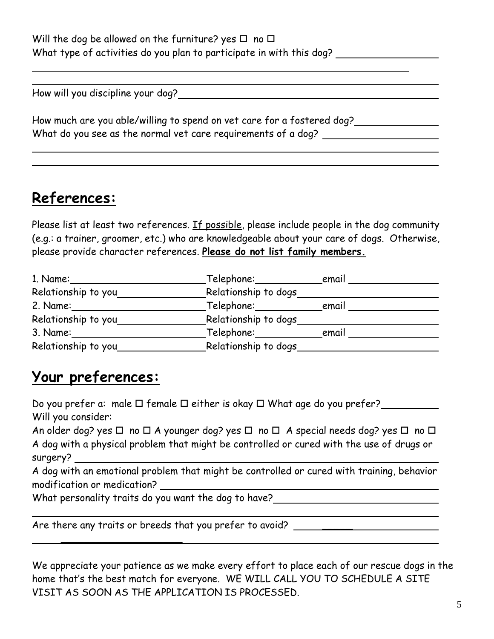| Will the dog be allowed on the furniture? yes $\Box$ no $\Box$       |  |
|----------------------------------------------------------------------|--|
| What type of activities do you plan to participate in with this dog? |  |

How will you discipline your dog?

| How much are you able/willing to spend on vet care for a fostered dog? |  |
|------------------------------------------------------------------------|--|
| What do you see as the normal vet care requirements of a dog?          |  |

### **References:**

l  $\overline{a}$ 

 $\overline{a}$ 

 $\overline{a}$ 

Please list at least two references. If possible, please include people in the dog community (e.g.: a trainer, groomer, etc.) who are knowledgeable about your care of dogs. Otherwise, please provide character references. **Please do not list family members.**

| 1. Name:            | Telephone:           | email |  |
|---------------------|----------------------|-------|--|
| Relationship to you | Relationship to dogs |       |  |
| 2. Name:            | Telephone:           | email |  |
| Relationship to you | Relationship to dogs |       |  |
| 3. Name:            | Telephone:           | email |  |
| Relationship to you | Relationship to dogs |       |  |

### **Your preferences:**

Do you prefer a: male  $\Box$  female  $\Box$  either is okay  $\Box$  What age do you prefer? Will you consider: An older dog? yes  $\Box$  no  $\Box$  A younger dog? yes  $\Box$  no  $\Box$  A special needs dog? yes  $\Box$  no  $\Box$ A dog with a physical problem that might be controlled or cured with the use of drugs or surgery?

A dog with an emotional problem that might be controlled or cured with training, behavior modification or medication?

What personality traits do you want the dog to have?

\_\_\_\_\_\_\_\_\_\_\_\_\_\_\_\_\_\_\_\_

Are there any traits or breeds that you prefer to avoid? \_\_\_\_\_\_\_\_\_\_\_\_\_\_\_\_\_\_\_\_\_\_\_\_

We appreciate your patience as we make every effort to place each of our rescue dogs in the home that's the best match for everyone. WE WILL CALL YOU TO SCHEDULE A SITE VISIT AS SOON AS THE APPLICATION IS PROCESSED.